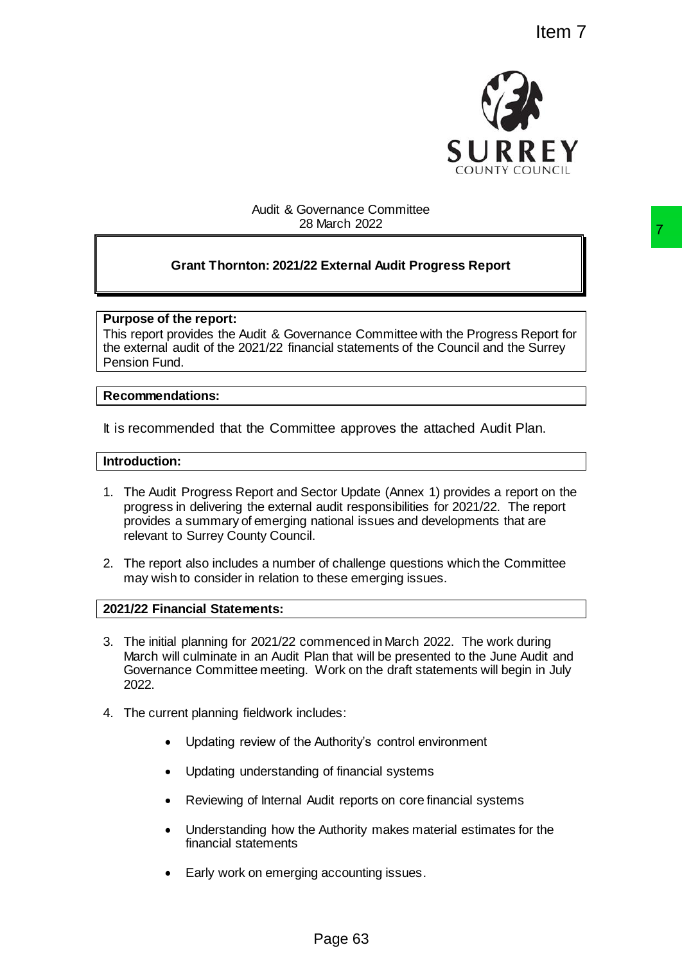

# Audit & Governance Committee 28 March 2022

# **Grant Thornton: 2021/22 External Audit Progress Report**

# **Purpose of the report:**

This report provides the Audit & Governance Committee with the Progress Report for the external audit of the 2021/22 financial statements of the Council and the Surrey Pension Fund.

#### **Recommendations:**

It is recommended that the Committee approves the attached Audit Plan.

# **Introduction:**

- 1. The Audit Progress Report and Sector Update (Annex 1) provides a report on the progress in delivering the external audit responsibilities for 2021/22. The report provides a summary of emerging national issues and developments that are relevant to Surrey County Council. TRIGHT AND TRIGHT TO EXECT THE SECTION TO THE SECTION TO THE SECTION THE SECTION TO THE SECTION COLLECT CONDUCTED AND THE SECTION THE SECTION THE SECTION THE SECTION TO THE SECTION THE SECTION TO THE SECTION TO THE SECTION
- 2. The report also includes a number of challenge questions which the Committee may wish to consider in relation to these emerging issues.

# **2021/22 Financial Statements:**

- 3. The initial planning for 2021/22 commenced in March 2022. The work during March will culminate in an Audit Plan that will be presented to the June Audit and Governance Committee meeting. Work on the draft statements will begin in July 2022.
- 4. The current planning fieldwork includes:
	- Updating review of the Authority's control environment
	- Updating understanding of financial systems
	- Reviewing of Internal Audit reports on core financial systems
	- Understanding how the Authority makes material estimates for the financial statements
	- Early work on emerging accounting issues.